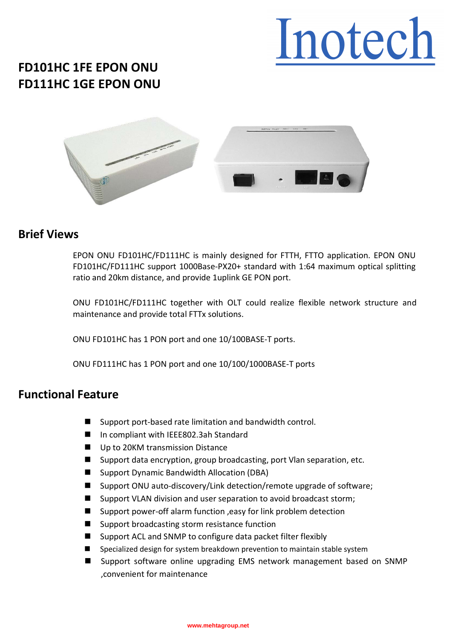## Inotech

### **FD101HC 1FE EPON ONU FD111HC 1GE EPON ONU**



#### **Brief Views**

EPON ONU FD101HC/FD111HC is mainly designed for FTTH, FTTO application. EPON ONU FD101HC/FD111HC support 1000Base-PX20+ standard with 1:64 maximum optical splitting ratio and 20km distance, and provide 1uplink GE PON port.

ONU FD101HC/FD111HC together with OLT could realize flexible network structure and maintenance and provide total FTTx solutions.

ONU FD101HC has 1 PON port and one 10/100BASE-T ports.

ONU FD111HC has 1 PON port and one 10/100/1000BASE-T ports

#### **Functional Feature**

- Support port-based rate limitation and bandwidth control.
- In compliant with IEEE802.3ah Standard
- Up to 20KM transmission Distance
- Support data encryption, group broadcasting, port Vlan separation, etc.
- Support Dynamic Bandwidth Allocation (DBA)
- Support ONU auto-discovery/Link detection/remote upgrade of software;
- Support VLAN division and user separation to avoid broadcast storm;
- Support power-off alarm function , easy for link problem detection
- Support broadcasting storm resistance function
- Support ACL and SNMP to configure data packet filter flexibly
- Specialized design for system breakdown prevention to maintain stable system
- Support software online upgrading EMS network management based on SNMP ,convenient for maintenance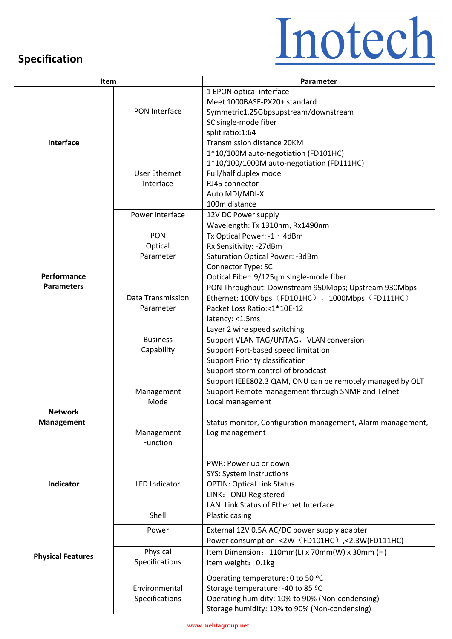### **Specification**

# Inotech

| Item                             |                                   | Parameter                                                   |
|----------------------------------|-----------------------------------|-------------------------------------------------------------|
| <b>Interface</b>                 | PON Interface                     | 1 EPON optical interface                                    |
|                                  |                                   | Meet 1000BASE-PX20+ standard                                |
|                                  |                                   | Symmetric1.25Gbpsupstream/downstream                        |
|                                  |                                   | SC single-mode fiber                                        |
|                                  |                                   | split ratio:1:64                                            |
|                                  |                                   | <b>Transmission distance 20KM</b>                           |
|                                  | <b>User Ethernet</b><br>Interface | 1*10/100M auto-negotiation (FD101HC)                        |
|                                  |                                   | 1*10/100/1000M auto-negotiation (FD111HC)                   |
|                                  |                                   | Full/half duplex mode                                       |
|                                  |                                   | RJ45 connector                                              |
|                                  |                                   | Auto MDI/MDI-X                                              |
|                                  |                                   |                                                             |
|                                  |                                   | 100m distance                                               |
|                                  | Power Interface                   | 12V DC Power supply                                         |
| Performance<br><b>Parameters</b> |                                   | Wavelength: Tx 1310nm, Rx1490nm                             |
|                                  | <b>PON</b>                        | Tx Optical Power: -1~4dBm                                   |
|                                  | Optical                           | Rx Sensitivity: -27dBm                                      |
|                                  | Parameter                         | Saturation Optical Power: -3dBm                             |
|                                  |                                   | Connector Type: SC                                          |
|                                  |                                   | Optical Fiber: 9/125um single-mode fiber                    |
|                                  | Data Transmission<br>Parameter    | PON Throughput: Downstream 950Mbps; Upstream 930Mbps        |
|                                  |                                   | Ethernet: 100Mbps (FD101HC), 1000Mbps (FD111HC)             |
|                                  |                                   | Packet Loss Ratio:<1*10E-12                                 |
|                                  |                                   | latency: <1.5ms                                             |
|                                  | <b>Business</b><br>Capability     | Layer 2 wire speed switching                                |
|                                  |                                   | Support VLAN TAG/UNTAG, VLAN conversion                     |
|                                  |                                   | Support Port-based speed limitation                         |
|                                  |                                   | <b>Support Priority classification</b>                      |
|                                  |                                   |                                                             |
|                                  |                                   | Support storm control of broadcast                          |
|                                  |                                   | Support IEEE802.3 QAM, ONU can be remotely managed by OLT   |
|                                  | Management                        | Support Remote management through SNMP and Telnet           |
|                                  | Mode                              | Local management                                            |
| <b>Network</b>                   |                                   |                                                             |
| <b>Management</b>                |                                   | Status monitor, Configuration management, Alarm management, |
|                                  | Management                        | Log management                                              |
|                                  | Function                          |                                                             |
|                                  |                                   |                                                             |
|                                  |                                   | PWR: Power up or down<br><b>SYS: System instructions</b>    |
| <b>Indicator</b>                 | <b>LED Indicator</b>              |                                                             |
|                                  |                                   | <b>OPTIN: Optical Link Status</b>                           |
|                                  |                                   | LINK: ONU Registered                                        |
|                                  |                                   | LAN: Link Status of Ethernet Interface                      |
| <b>Physical Features</b>         | Shell                             | Plastic casing                                              |
|                                  | Power                             | External 12V 0.5A AC/DC power supply adapter                |
|                                  |                                   | Power consumption: <2W (FD101HC) ,<2.3W(FD111HC)            |
|                                  | Physical                          | Item Dimension: 110mm(L) x 70mm(W) x 30mm (H)               |
|                                  | Specifications                    | Item weight: 0.1kg                                          |
|                                  |                                   | Operating temperature: 0 to 50 °C                           |
|                                  | Environmental<br>Specifications   | Storage temperature: -40 to 85 °C                           |
|                                  |                                   | Operating humidity: 10% to 90% (Non-condensing)             |
|                                  |                                   | Storage humidity: 10% to 90% (Non-condensing)               |
|                                  |                                   |                                                             |